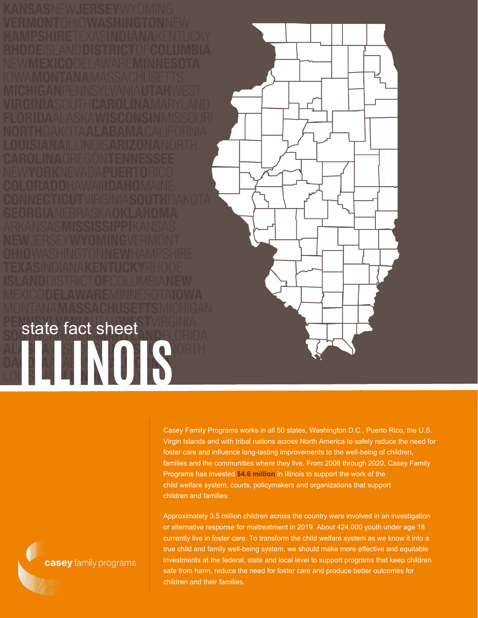

Casey Family Programs works in all 50 states, Washington D.C., Puerto Rico, the U.S. Virgin Islands and with tribal nations across North America to safely reduce the need for foster care and influence long-lasting improvements to the well-being of children, families and the communities where they live. From 2008 through 2020, Casey Family Programs has invested **\$4.6 million** in Illinois to support the work of the child welfare system, courts, policymakers and organizations that support children and families.

Approximately 3.5 million children across the country were involved in an investigation or alternative response for maltreatment in 2019. About 424,000 youth under age 18 currently live in foster care. To transform the child welfare system as we know it into a true child and family well-being system, we should make more effective and equitable investments at the federal, state and local level to support programs that keep children safe from harm, reduce the need for foster care and produce better outcomes for children and their families.

casey family programs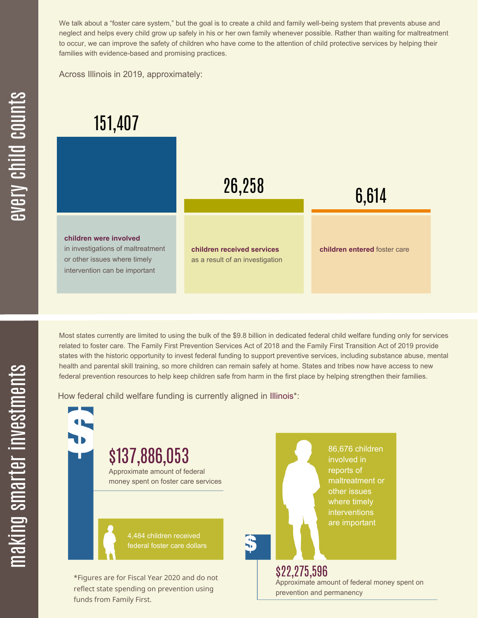We talk about a "foster care system," but the goal is to create a child and family well-being system that prevents abuse and neglect and helps every child grow up safely in his or her own family whenever possible. Rather than waiting for maltreatment to occur, we can improve the safety of children who have come to the attention of child protective services by helping their families with evidence-based and promising practices.

Across Illinois in 2019, approximately:



Most states currently are limited to using the bulk of the \$9.8 billion in dedicated federal child welfare funding only for services related to foster care. The Family First Prevention Services Act of 2018 and the Family First Transition Act of 2019 provide states with the historic opportunity to invest federal funding to support preventive services, including substance abuse, mental health and parental skill training, so more children can remain safely at home. States and tribes now have access to new federal prevention resources to help keep children safe from harm in the first place by helping strengthen their families.

How federal child welfare funding is currently aligned in Illinois\*:

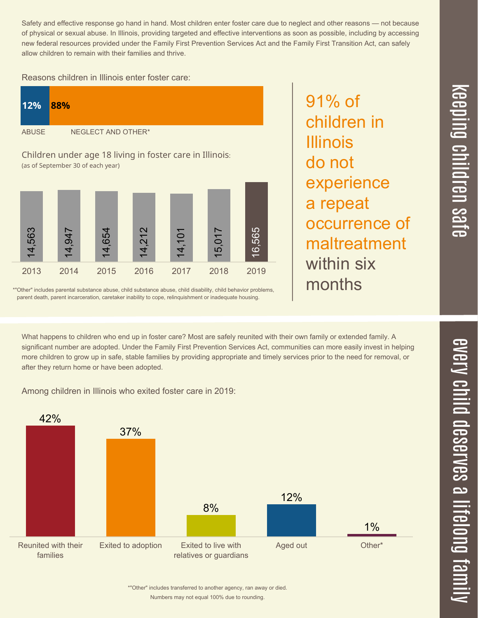$\overline{\phantom{1}}$  $\overline{\mathbf \Theta}$  $\overline{\mathbf{C}}$ <u>pin</u>  $\overline{\mathbf{C}}$  $\overline{\mathbf{C}}$  $\equiv$  $\overline{\mathbf{c}}$  $\overline{\phantom{0}}$  $\boldsymbol{\mathcal{O}}$ a  $\overrightarrow{\mathbf{e}}$ 

Safety and effective response go hand in hand. Most children enter foster care due to neglect and other reasons — not because of physical or sexual abuse. In Illinois, providing targeted and effective interventions as soon as possible, including by accessing new federal resources provided under the Family First Prevention Services Act and the Family First Transition Act, can safely allow children to remain with their families and thrive.

91% of

Illinois

do not

children in

experience

occurrence of

maltreatment

a repeat

within six

months

Reasons children in Illinois enter foster care:

| <b>12%</b>                                                                                                                                                                                                                                                                                                                                                                                     | 88%                |
|------------------------------------------------------------------------------------------------------------------------------------------------------------------------------------------------------------------------------------------------------------------------------------------------------------------------------------------------------------------------------------------------|--------------------|
| <b>ABUSE</b>                                                                                                                                                                                                                                                                                                                                                                                   | NEGLECT AND OTHER* |
| $\mathcal{L}[\mathbf{1}][\mathbf{1}][\mathbf{1}][\mathbf{1}][\mathbf{1}][\mathbf{1}][\mathbf{1}][\mathbf{1}][\mathbf{1}][\mathbf{1}][\mathbf{1}][\mathbf{1}][\mathbf{1}][\mathbf{1}][\mathbf{1}][\mathbf{1}][\mathbf{1}][\mathbf{1}][\mathbf{1}][\mathbf{1}][\mathbf{1}][\mathbf{1}][\mathbf{1}][\mathbf{1}][\mathbf{1}][\mathbf{1}][\mathbf{1}][\mathbf{1}][\mathbf{1}][\mathbf{1}][\mathbf{$ |                    |

Children under age 18 living in foster care in Illinois: (as of September 30 of each year)



\*"Other" includes parental substance abuse, child substance abuse, child disability, child behavior problems, parent death, parent incarceration, caretaker inability to cope, relinquishment or inadequate housing.

What happens to children who end up in foster care? Most are safely reunited with their own family or extended family. A significant number are adopted. Under the Family First Prevention Services Act, communities can more easily invest in helping more children to grow up in safe, stable families by providing appropriate and timely services prior to the need for removal, or after they return home or have been adopted.

Among children in Illinois who exited foster care in 2019:



Numbers may not equal 100% due to rounding. \*"Other" includes transferred to another agency, ran away or died.